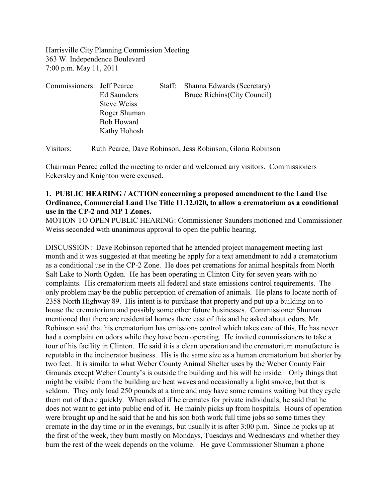Harrisville City Planning Commission Meeting 363 W. Independence Boulevard 7:00 p.m. May 11, 2011

| Commissioners: Jeff Pearce |                    | Staff: | Shanna Edwards (Secretary)   |
|----------------------------|--------------------|--------|------------------------------|
|                            | Ed Saunders        |        | Bruce Richins (City Council) |
|                            | <b>Steve Weiss</b> |        |                              |
|                            | Roger Shuman       |        |                              |
|                            | <b>Bob Howard</b>  |        |                              |
|                            | Kathy Hohosh       |        |                              |

Visitors: Ruth Pearce, Dave Robinson, Jess Robinson, Gloria Robinson

Chairman Pearce called the meeting to order and welcomed any visitors. Commissioners Eckersley and Knighton were excused.

### **1. PUBLIC HEARING / ACTION concerning a proposed amendment to the Land Use Ordinance, Commercial Land Use Title 11.12.020, to allow a crematorium as a conditional use in the CP-2 and MP 1 Zones.**

MOTION TO OPEN PUBLIC HEARING: Commissioner Saunders motioned and Commissioner Weiss seconded with unanimous approval to open the public hearing.

DISCUSSION: Dave Robinson reported that he attended project management meeting last month and it was suggested at that meeting he apply for a text amendment to add a crematorium as a conditional use in the CP-2 Zone. He does pet cremations for animal hospitals from North Salt Lake to North Ogden. He has been operating in Clinton City for seven years with no complaints. His crematorium meets all federal and state emissions control requirements. The only problem may be the public perception of cremation of animals. He plans to locate north of 2358 North Highway 89. His intent is to purchase that property and put up a building on to house the crematorium and possibly some other future businesses. Commissioner Shuman mentioned that there are residential homes there east of this and he asked about odors. Mr. Robinson said that his crematorium has emissions control which takes care of this. He has never had a complaint on odors while they have been operating. He invited commissioners to take a tour of his facility in Clinton. He said it is a clean operation and the crematorium manufacture is reputable in the incinerator business. His is the same size as a human crematorium but shorter by two feet. It is similar to what Weber County Animal Shelter uses by the Weber County Fair Grounds except Weber County's is outside the building and his will be inside. Only things that might be visible from the building are heat waves and occasionally a light smoke, but that is seldom. They only load 250 pounds at a time and may have some remains waiting but they cycle them out of there quickly. When asked if he cremates for private individuals, he said that he does not want to get into public end of it. He mainly picks up from hospitals. Hours of operation were brought up and he said that he and his son both work full time jobs so some times they cremate in the day time or in the evenings, but usually it is after 3:00 p.m. Since he picks up at the first of the week, they burn mostly on Mondays, Tuesdays and Wednesdays and whether they burn the rest of the week depends on the volume. He gave Commissioner Shuman a phone